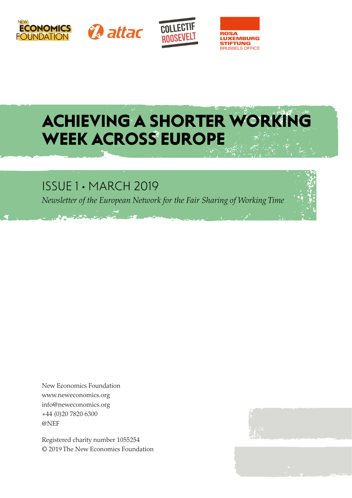







# ACHIEVING A SHORTER WORKING WEEK ACROSS EUROPE

# ISSUE 1 • MARCH 2019

*Newsletter of the European Network for the Fair Sharing of Working Time*

New Economics Foundation www.neweconomics.org info@neweconomics.org +44 (0)20 7820 6300 @NEF

Registered charity number 1055254 © 2019 The New Economics Foundation

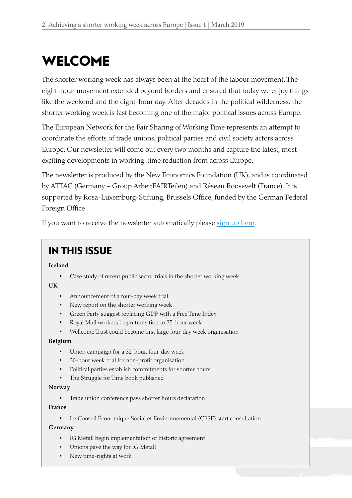# WELCOME

The shorter working week has always been at the heart of the labour movement. The eight-hour movement extended beyond borders and ensured that today we enjoy things like the weekend and the eight-hour day. After decades in the political wilderness, the shorter working week is fast becoming one of the major political issues across Europe.

The European Network for the Fair Sharing of Working Time represents an attempt to coordinate the efforts of trade unions, political parties and civil society actors across Europe. Our newsletter will come out every two months and capture the latest, most exciting developments in working-time reduction from across Europe.

The newsletter is produced by the New Economics Foundation (UK), and is coordinated by ATTAC (Germany – Group ArbeitFAIRTeilen) and Réseau Roosevelt (France). It is supported by Rosa-Luxemburg-Stiftung, Brussels Office, funded by the German Federal Foreign Office.

If you want to receive the newsletter automatically please [sign up here](https://neweconomics.org/subscribe/shorter-working-week).

# IN THIS ISSUE

**Iceland**

Case study of recent public sector trials in the shorter working week

**UK**

- Announcement of a four-day week trial
- New report on the shorter working week
- Green Party suggest replacing GDP with a Free Time Index
- Royal Mail workers begin transition to 35-hour week
- Wellcome Trust could become first large four-day week organisation

#### **Belgium**

- Union campaign for a 32-hour, four-day week
- 30-hour week trial for non-profit organisation
- Political parties establish commitments for shorter hours
- The Struggle for Time book published

#### **Norway**

• Trade union conference pass shorter hours declaration

#### **France**

• Le Conseil Économique Social et Environnemental (CESE) start consultation

#### **Germany**

- IG Metall begin implementation of historic agreement
- Unions pave the way for IG Metall
- New time-rights at work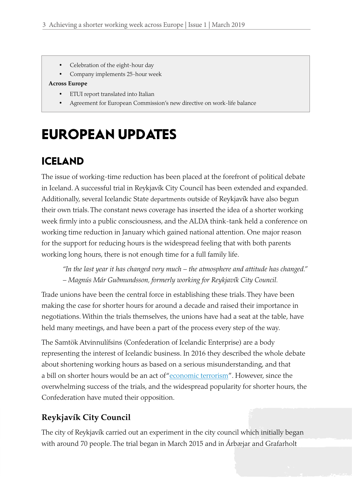- Celebration of the eight-hour day
- Company implements 25-hour week

#### **Across Europe**

- • ETUI report translated into Italian
- Agreement for European Commission's new directive on work-life balance

# EUROPEAN UPDATES

## ICELAND

The issue of working-time reduction has been placed at the forefront of political debate in Iceland. A successful trial in Reykjavík City Council has been extended and expanded. Additionally, several Icelandic State departments outside of Reykjavík have also begun their own trials. The constant news coverage has inserted the idea of a shorter working week firmly into a public consciousness, and the ALDA think-tank held a conference on working time reduction in January which gained national attention. One major reason for the support for reducing hours is the widespread feeling that with both parents working long hours, there is not enough time for a full family life.

*"In the last year it has changed very much – the atmosphere and attitude has changed." – Magnús Már Guðmundsson, formerly working for Reykjavík City Council.*

Trade unions have been the central force in establishing these trials. They have been making the case for shorter hours for around a decade and raised their importance in negotiations. Within the trials themselves, the unions have had a seat at the table, have held many meetings, and have been a part of the process every step of the way.

The Samtök Atvinnulífsins (Confederation of Icelandic Enterprise) are a body representing the interest of Icelandic business. In 2016 they described the whole debate about shortening working hours as based on a serious misunderstanding, and that a bill on shorter hours would be an act of "[economic terrorism](http://www.vb.is/frettir/efnahagslegt-hrydjuverk/127763/?q=Vinnuvika)". However, since the overwhelming success of the trials, and the widespread popularity for shorter hours, the Confederation have muted their opposition.

### **Reykjavík City Council**

The city of Reykjavík carried out an experiment in the city council which initially began with around 70 people. The trial began in March 2015 and in Árbæjar and Grafarholt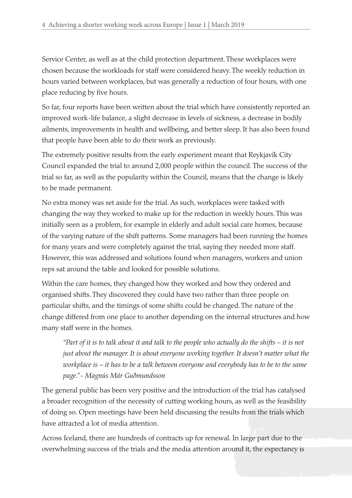Service Center, as well as at the child protection department. These workplaces were chosen because the workloads for staff were considered heavy. The weekly reduction in hours varied between workplaces, but was generally a reduction of four hours, with one place reducing by five hours.

So far, four reports have been written about the trial which have consistently reported an improved work-life balance, a slight decrease in levels of sickness, a decrease in bodily ailments, improvements in health and wellbeing, and better sleep. It has also been found that people have been able to do their work as previously.

The extremely positive results from the early experiment meant that Reykjavík City Council expanded the trial to around 2,000 people within the council. The success of the trial so far, as well as the popularity within the Council, means that the change is likely to be made permanent.

No extra money was set aside for the trial. As such, workplaces were tasked with changing the way they worked to make up for the reduction in weekly hours. This was initially seen as a problem, for example in elderly and adult social care homes, because of the varying nature of the shift patterns. Some managers had been running the homes for many years and were completely against the trial, saying they needed more staff. However, this was addressed and solutions found when managers, workers and union reps sat around the table and looked for possible solutions.

Within the care homes, they changed how they worked and how they ordered and organised shifts. They discovered they could have two rather than three people on particular shifts, and the timings of some shifts could be changed. The nature of the change differed from one place to another depending on the internal structures and how many staff were in the homes.

*"Part of it is to talk about it and talk to the people who actually do the shifts – it is not just about the manager. It is about everyone working together. It doesn't matter what the workplace is – it has to be a talk between everyone and everybody has to be to the same page." - Magnús Már Guðmundsson*

The general public has been very positive and the introduction of the trial has catalysed a broader recognition of the necessity of cutting working hours, as well as the feasibility of doing so. Open meetings have been held discussing the results from the trials which have attracted a lot of media attention.

Across Iceland, there are hundreds of contracts up for renewal. In large part due to the overwhelming success of the trials and the media attention around it, the expectancy is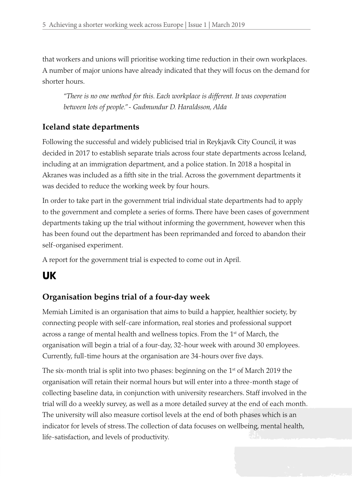that workers and unions will prioritise working time reduction in their own workplaces. A number of major unions have already indicated that they will focus on the demand for shorter hours.

*"There is no one method for this. Each workplace is different. It was cooperation between lots of people." - Gudmundur D. Haraldsson, Alda*

### **Iceland state departments**

Following the successful and widely publicised trial in Reykjavík City Council, it was decided in 2017 to establish separate trials across four state departments across Iceland, including at an immigration department, and a police station. In 2018 a hospital in Akranes was included as a fifth site in the trial. Across the government departments it was decided to reduce the working week by four hours.

In order to take part in the government trial individual state departments had to apply to the government and complete a series of forms. There have been cases of government departments taking up the trial without informing the government, however when this has been found out the department has been reprimanded and forced to abandon their self-organised experiment.

A report for the government trial is expected to come out in April.

## UK

### **Organisation begins trial of a four-day week**

Memiah Limited is an organisation that aims to build a happier, healthier society, by connecting people with self-care information, real stories and professional support across a range of mental health and wellness topics. From the 1<sup>st</sup> of March, the organisation will begin a trial of a four-day, 32-hour week with around 30 employees. Currently, full-time hours at the organisation are 34-hours over five days.

The six-month trial is split into two phases: beginning on the  $1<sup>st</sup>$  of March 2019 the organisation will retain their normal hours but will enter into a three-month stage of collecting baseline data, in conjunction with university researchers. Staff involved in the trial will do a weekly survey, as well as a more detailed survey at the end of each month. The university will also measure cortisol levels at the end of both phases which is an indicator for levels of stress. The collection of data focuses on wellbeing, mental health, life-satisfaction, and levels of productivity.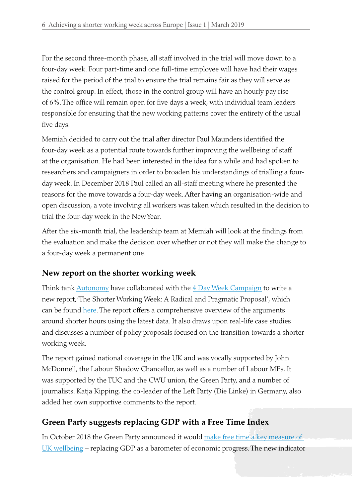For the second three-month phase, all staff involved in the trial will move down to a four-day week. Four part-time and one full-time employee will have had their wages raised for the period of the trial to ensure the trial remains fair as they will serve as the control group. In effect, those in the control group will have an hourly pay rise of 6%. The office will remain open for five days a week, with individual team leaders responsible for ensuring that the new working patterns cover the entirety of the usual five days.

Memiah decided to carry out the trial after director Paul Maunders identified the four-day week as a potential route towards further improving the wellbeing of staff at the organisation. He had been interested in the idea for a while and had spoken to researchers and campaigners in order to broaden his understandings of trialling a fourday week. In December 2018 Paul called an all-staff meeting where he presented the reasons for the move towards a four-day week. After having an organisation-wide and open discussion, a vote involving all workers was taken which resulted in the decision to trial the four-day week in the New Year.

After the six-month trial, the leadership team at Memiah will look at the findings from the evaluation and make the decision over whether or not they will make the change to a four-day week a permanent one.

### **New report on the shorter working week**

Think tank [Autonomy](http://autonomy.work/) have collaborated with the [4 Day Week Campaign](https://www.4dayweek.co.uk/) to write a new report, 'The Shorter Working Week: A Radical and Pragmatic Proposal', which can be found [here](https://docs.wixstatic.com/ugd/6a142f_36162778914a46b3a00dcd466562fce7.pdf). The report offers a comprehensive overview of the arguments around shorter hours using the latest data. It also draws upon real-life case studies and discusses a number of policy proposals focused on the transition towards a shorter working week.

The report gained national coverage in the UK and was vocally supported by John McDonnell, the Labour Shadow Chancellor, as well as a number of Labour MPs. It was supported by the TUC and the CWU union, the Green Party, and a number of journalists. Katja Kipping, the co-leader of the Left Party (Die Linke) in Germany, also added her own supportive comments to the report.

### **Green Party suggests replacing GDP with a Free Time Index**

In October 2018 the Green Party announced it would [make free time a key measure of](https://neweconomics.org/2018/10/get-rich-or-die-trying-the-case-for-a-new-politics-of-time)  [UK wellbeing](https://neweconomics.org/2018/10/get-rich-or-die-trying-the-case-for-a-new-politics-of-time) – replacing GDP as a barometer of economic progress. The new indicator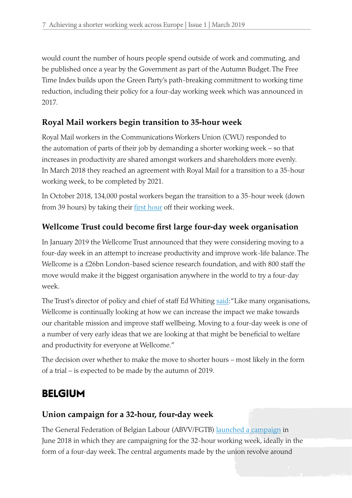would count the number of hours people spend outside of work and commuting, and be published once a year by the Government as part of the Autumn Budget. The Free Time Index builds upon the Green Party's path-breaking commitment to working time reduction, including their policy for a four-day working week which was announced in 2017.

### **Royal Mail workers begin transition to 35-hour week**

Royal Mail workers in the Communications Workers Union (CWU) responded to the automation of parts of their job by demanding a shorter working week – so that increases in productivity are shared amongst workers and shareholders more evenly. In March 2018 they reached an agreement with Royal Mail for a transition to a 35-hour working week, to be completed by 2021.

In October 2018, 134,000 postal workers began the transition to a 35-hour week (down from 39 hours) by taking their [first hour](http://www.cwu.org/wp-content/uploads/2018/07/RM_CWU-JS-SWW-Introduction-Collections-Final.pdf) off their working week.

### **Wellcome Trust could become first large four-day week organisation**

In January 2019 the Wellcome Trust announced that they were considering moving to a four-day week in an attempt to increase productivity and improve work-life balance. The Wellcome is a £26bn London-based science research foundation, and with 800 staff the move would make it the biggest organisation anywhere in the world to try a four-day week.

The Trust's director of policy and chief of staff Ed Whiting [said:](https://wellcome.ac.uk/press-release/statement-potential-four-day-week) "Like many organisations, Wellcome is continually looking at how we can increase the impact we make towards our charitable mission and improve staff wellbeing. Moving to a four-day week is one of a number of very early ideas that we are looking at that might be beneficial to welfare and productivity for everyone at Wellcome."

The decision over whether to make the move to shorter hours – most likely in the form of a trial – is expected to be made by the autumn of 2019.

# BELGIUM

### **Union campaign for a 32-hour, four-day week**

The General Federation of Belgian Labour (ABVV/FGTB) [launched a campaign](https://www.hln.be/nieuws/binnenland/abvv-wil-evolueren-naar-32-urenweek-met-z-n-allen-wat-minder-werken-om-met-z-n-allen-aan-de-slag-te-kunnen~ac02f3ab/) in June 2018 in which they are campaigning for the 32-hour working week, ideally in the form of a four-day week. The central arguments made by the union revolve around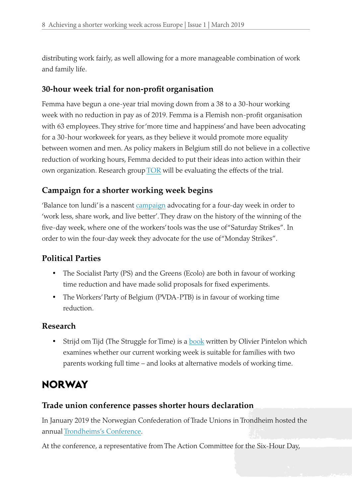distributing work fairly, as well allowing for a more manageable combination of work and family life.

### **30-hour week trial for non-profit organisation**

Femma have begun a one-year trial moving down from a 38 to a 30-hour working week with no reduction in pay as of 2019. Femma is a Flemish non-profit organisation with 63 employees. They strive for 'more time and happiness' and have been advocating for a 30-hour workweek for years, as they believe it would promote more equality between women and men. As policy makers in Belgium still do not believe in a collective reduction of working hours, Femma decided to put their ideas into action within their own organization. Research group  $TOR$  will be evaluating the effects of the trial.

### **Campaign for a shorter working week begins**

'Balance ton lundi' is a nascent [campaign](http://www.dutravailpourtous.be/balance-ton-lundi/) advocating for a four-day week in order to 'work less, share work, and live better'. They draw on the history of the winning of the five-day week, where one of the workers' tools was the use of "Saturday Strikes". In order to win the four-day week they advocate for the use of "Monday Strikes".

### **Political Parties**

- The Socialist Party (PS) and the Greens (Ecolo) are both in favour of working time reduction and have made solid proposals for fixed experiments.
- The Workers' Party of Belgium (PVDA-PTB) is in favour of working time reduction.

### **Research**

• Strijd om Tijd (The Struggle for Time) is a [book](https://www.epo.be/nl/sociaal-politiek/3630-de-strijd-om-tijd-9789462671409.html) written by Olivier Pintelon which examines whether our current working week is suitable for families with two parents working full time – and looks at alternative models of working time.

### **NORWAY**

### **Trade union conference passes shorter hours declaration**

In January 2019 the Norwegian Confederation of Trade Unions in Trondheim hosted the annual [Trondheims's Conference.](http://loitrondheim.no/trondheimskonferansen-2019/)

At the conference, a representative from The Action Committee for the Six-Hour Day,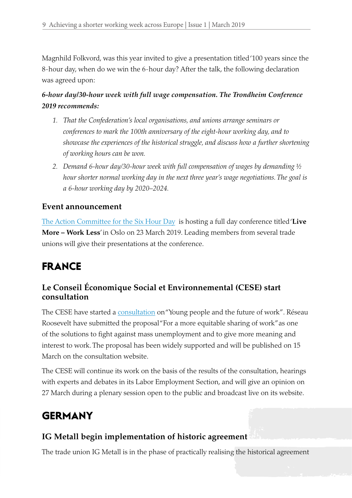Magnhild Folkvord, was this year invited to give a presentation titled '100 years since the 8-hour day, when do we win the 6-hour day? After the talk, the following declaration was agreed upon:

### *6-hour day/30-hour week with full wage compensation. The Trondheim Conference 2019 recommends:*

- *1. That the Confederation's local organisations, and unions arrange seminars or conferences to mark the 100th anniversary of the eight-hour working day, and to showcase the experiences of the historical struggle, and discuss how a further shortening of working hours can be won.*
- *2. Demand 6-hour day/30-hour week with full compensation of wages by demanding ½ hour shorter normal working day in the next three year's wage negotiations. The goal is a 6-hour working day by 2020–2024.*

### **Event announcement**

[The Action Committee for the Six Hour Day](http://www.sekstimersdagen.no/) is hosting a full day conference titled '**Live More – Work Less**' in Oslo on 23 March 2019. Leading members from several trade unions will give their presentations at the conference.

# FRANCE

### **Le Conseil Économique Social et Environnemental (CESE) start consultation**

The CESE have started a [consultation](https://www.lecese.fr/travaux-du-cese/saisines/lavenir-du-travail) on "Young people and the future of work". Réseau Roosevelt have submitted the proposal "For a more equitable sharing of work" as one of the solutions to fight against mass unemployment and to give more meaning and interest to work. The proposal has been widely supported and will be published on 15 March on the consultation website.

The CESE will continue its work on the basis of the results of the consultation, hearings with experts and debates in its Labor Employment Section, and will give an opinion on 27 March during a plenary session open to the public and broadcast live on its website.

## **GERMANY**

### **IG Metall begin implementation of historic agreement**

The trade union IG Metall is in the phase of practically realising the historical agreement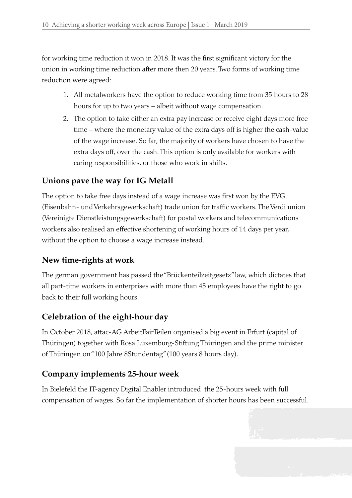for working time reduction it won in 2018. It was the first significant victory for the union in working time reduction after more then 20 years. Two forms of working time reduction were agreed:

- 1. All metalworkers have the option to reduce working time from 35 hours to 28 hours for up to two years – albeit without wage compensation.
- 2. The option to take either an extra pay increase or receive eight days more free time – where the monetary value of the extra days off is higher the cash-value of the wage increase. So far, the majority of workers have chosen to have the extra days off, over the cash. This option is only available for workers with caring responsibilities, or those who work in shifts.

### **Unions pave the way for IG Metall**

The option to take free days instead of a wage increase was first won by the EVG (Eisenbahn- und Verkehrsgewerkschaft) trade union for traffic workers. The Verdi union (Vereinigte Dienstleistungsgewerkschaft) for postal workers and telecommunications workers also realised an effective shortening of working hours of 14 days per year, without the option to choose a wage increase instead.

### **New time-rights at work**

The german government has passed the "Brückenteilzeitgesetz" law, which dictates that all part-time workers in enterprises with more than 45 employees have the right to go back to their full working hours.

### **Celebration of the eight-hour day**

In October 2018, attac-AG ArbeitFairTeilen organised a big event in Erfurt (capital of Thüringen) together with Rosa Luxemburg-Stiftung Thüringen and the prime minister of Thüringen on "100 Jahre 8Stundentag" (100 years 8 hours day).

### **Company implements 25-hour week**

In Bielefeld the IT-agency Digital Enabler introduced the 25-hours week with full compensation of wages. So far the implementation of shorter hours has been successful.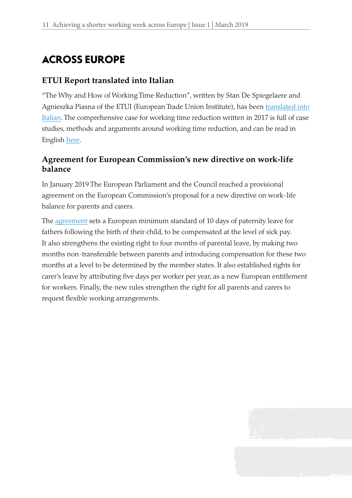# ACROSS EUROPE

### **ETUI Report translated into Italian**

"The Why and How of Working Time Reduction", written by Stan De Spiegelaere and Agnieszka Piasna of the ETUI (European Trade Union Institute), has been [translated into](https://www.etui.org/Publications2/Guides/The-why-and-how-of-working-time-reduction)  [Italian](https://www.etui.org/Publications2/Guides/The-why-and-how-of-working-time-reduction). The comprehensive case for working time reduction written in 2017 is full of case studies, methods and arguments around working time reduction, and can be read in English [here.](https://www.etui.org/Publications2/Guides/The-why-and-how-of-working-time-reduction)

### **Agreement for European Commission's new directive on work-life balance**

In January 2019 The European Parliament and the Council reached a provisional agreement on the European Commission's proposal for a new directive on work-life balance for parents and carers.

The [agreement](https://ec.europa.eu/social/main.jsp?langId=en&catId=1311&newsId=9285&furtherNews=yes) sets a European minimum standard of 10 days of paternity leave for fathers following the birth of their child, to be compensated at the level of sick pay. It also strengthens the existing right to four months of parental leave, by making two months non-transferable between parents and introducing compensation for these two months at a level to be determined by the member states. It also established rights for carer's leave by attributing five days per worker per year, as a new European entitlement for workers. Finally, the new rules strengthen the right for all parents and carers to request flexible working arrangements.

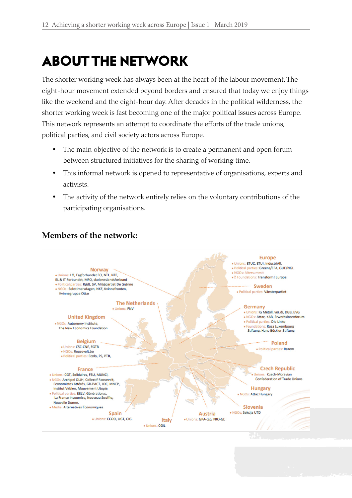# ABOUT THE NETWORK

The shorter working week has always been at the heart of the labour movement. The eight-hour movement extended beyond borders and ensured that today we enjoy things like the weekend and the eight-hour day. After decades in the political wilderness, the shorter working week is fast becoming one of the major political issues across Europe. This network represents an attempt to coordinate the efforts of the trade unions, political parties, and civil society actors across Europe.

- The main objective of the network is to create a permanent and open forum between structured initiatives for the sharing of working time.
- This informal network is opened to representative of organisations, experts and activists.
- The activity of the network entirely relies on the voluntary contributions of the participating organisations.



### **Members of the network:**